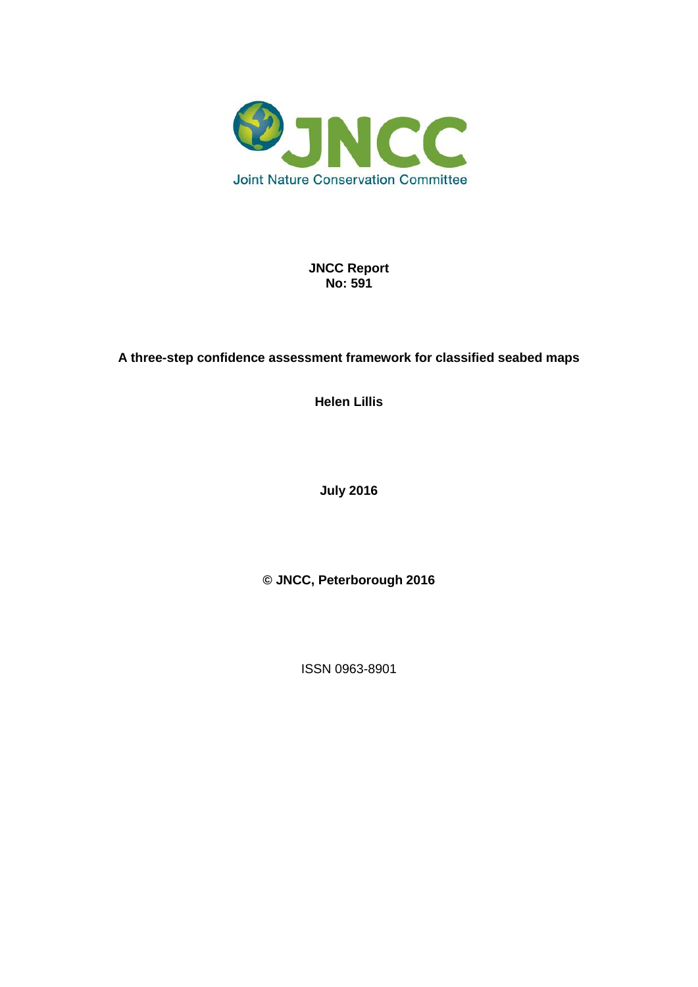

**JNCC Report No: 591**

### **A three-step confidence assessment framework for classified seabed maps**

**Helen Lillis**

**July 2016**

**© JNCC, Peterborough 2016**

ISSN 0963-8901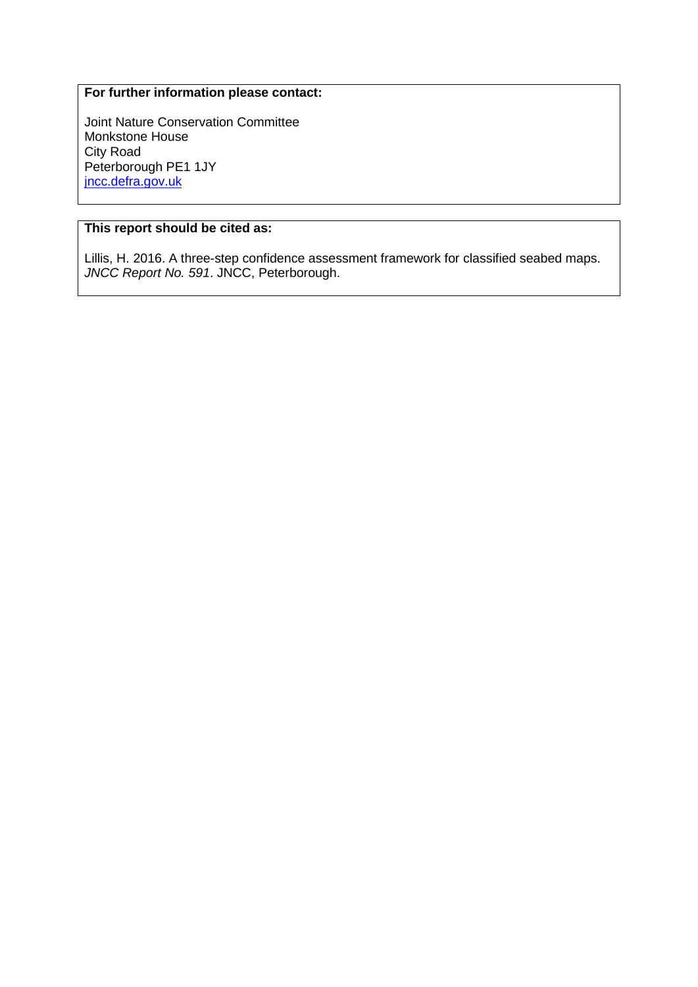#### **For further information please contact:**

Joint Nature Conservation Committee Monkstone House City Road Peterborough PE1 1JY [jncc.defra.gov.uk](http://jncc.defra.gov.uk/)

#### **This report should be cited as:**

Lillis, H. 2016. A three-step confidence assessment framework for classified seabed maps. *JNCC Report No. 591*. JNCC, Peterborough.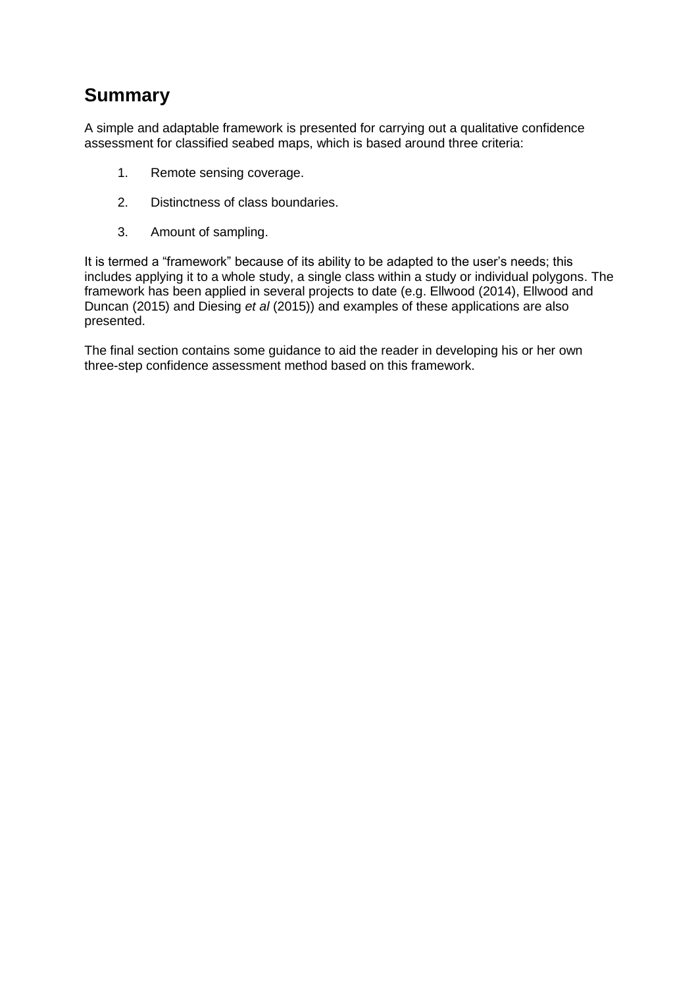# **Summary**

A simple and adaptable framework is presented for carrying out a qualitative confidence assessment for classified seabed maps, which is based around three criteria:

- 1. Remote sensing coverage.
- 2. Distinctness of class boundaries.
- 3. Amount of sampling.

It is termed a "framework" because of its ability to be adapted to the user's needs; this includes applying it to a whole study, a single class within a study or individual polygons. The framework has been applied in several projects to date (e.g. Ellwood (2014), Ellwood and Duncan (2015) and Diesing *et al* (2015)) and examples of these applications are also presented.

The final section contains some guidance to aid the reader in developing his or her own three-step confidence assessment method based on this framework.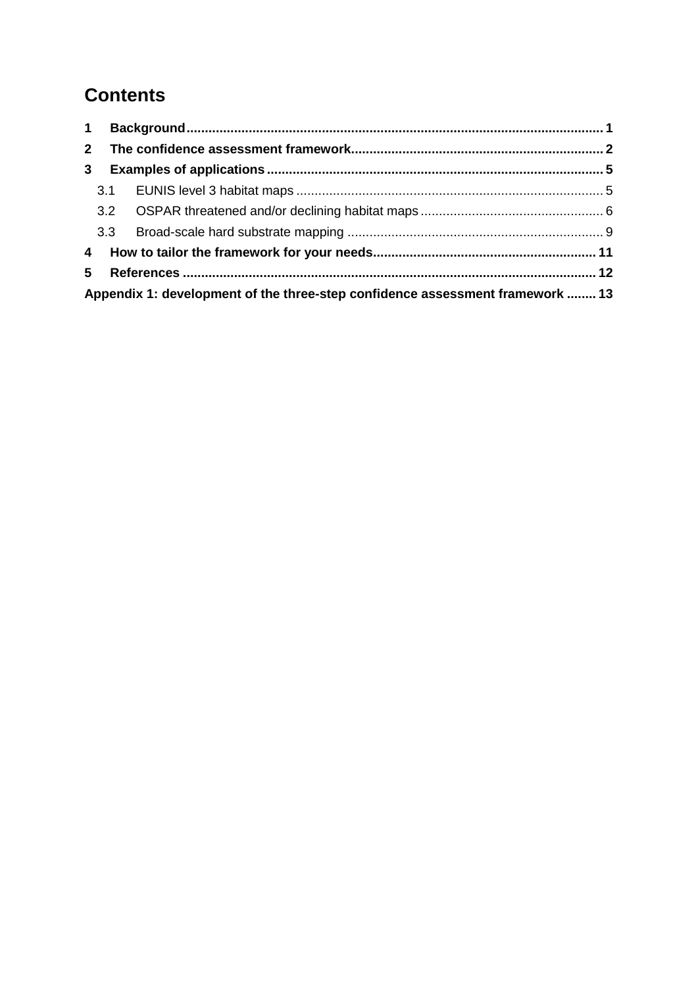# **Contents**

|                                                                               | $1 \quad$ |  |  |
|-------------------------------------------------------------------------------|-----------|--|--|
| $2^{\circ}$                                                                   |           |  |  |
| 3 <sup>1</sup>                                                                |           |  |  |
|                                                                               |           |  |  |
|                                                                               |           |  |  |
|                                                                               |           |  |  |
|                                                                               |           |  |  |
|                                                                               | 5         |  |  |
| Appendix 1: development of the three-step confidence assessment framework  13 |           |  |  |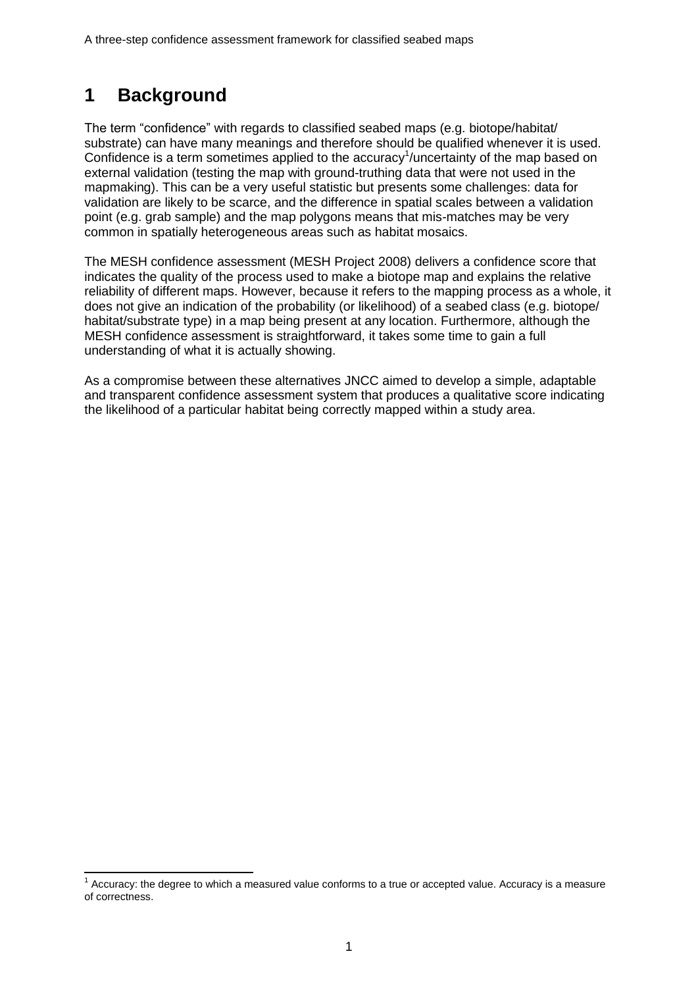# <span id="page-4-0"></span>**1 Background**

 $\overline{a}$ 

The term "confidence" with regards to classified seabed maps (e.g. biotope/habitat/ substrate) can have many meanings and therefore should be qualified whenever it is used. Confidence is a term sometimes applied to the accuracy<sup>1</sup>/uncertainty of the map based on external validation (testing the map with ground-truthing data that were not used in the mapmaking). This can be a very useful statistic but presents some challenges: data for validation are likely to be scarce, and the difference in spatial scales between a validation point (e.g. grab sample) and the map polygons means that mis-matches may be very common in spatially heterogeneous areas such as habitat mosaics.

The MESH confidence assessment (MESH Project 2008) delivers a confidence score that indicates the quality of the process used to make a biotope map and explains the relative reliability of different maps. However, because it refers to the mapping process as a whole, it does not give an indication of the probability (or likelihood) of a seabed class (e.g. biotope/ habitat/substrate type) in a map being present at any location. Furthermore, although the MESH confidence assessment is straightforward, it takes some time to gain a full understanding of what it is actually showing.

As a compromise between these alternatives JNCC aimed to develop a simple, adaptable and transparent confidence assessment system that produces a qualitative score indicating the likelihood of a particular habitat being correctly mapped within a study area.

 $1$  Accuracy: the degree to which a measured value conforms to a true or accepted value. Accuracy is a measure of correctness.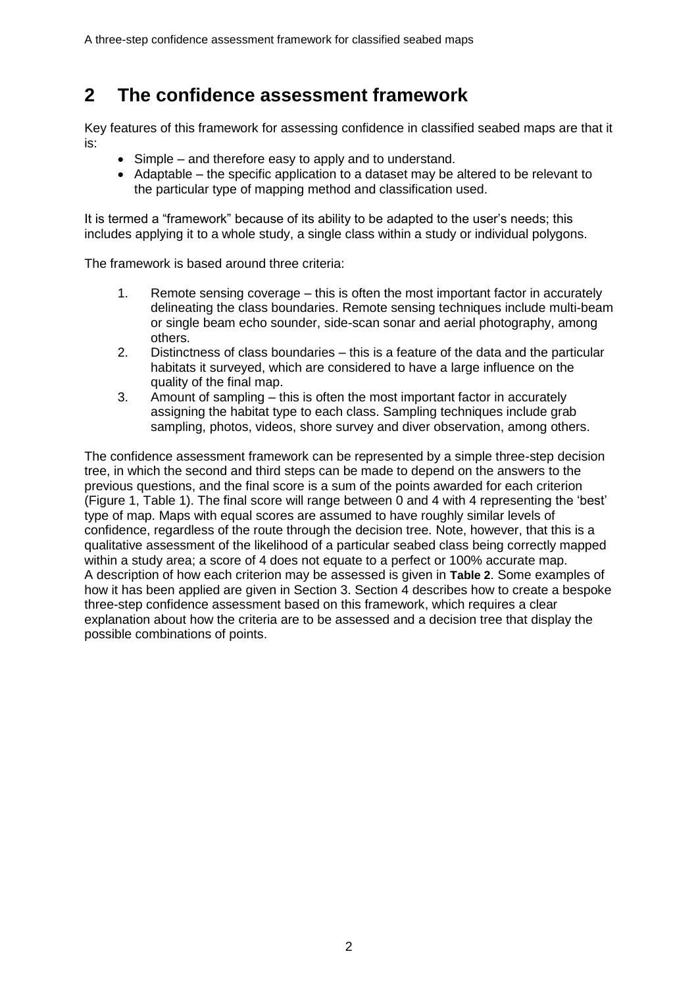## <span id="page-5-0"></span>**2 The confidence assessment framework**

Key features of this framework for assessing confidence in classified seabed maps are that it is:

- Simple and therefore easy to apply and to understand.
- Adaptable the specific application to a dataset may be altered to be relevant to the particular type of mapping method and classification used.

It is termed a "framework" because of its ability to be adapted to the user's needs; this includes applying it to a whole study, a single class within a study or individual polygons.

The framework is based around three criteria:

- 1. Remote sensing coverage this is often the most important factor in accurately delineating the class boundaries. Remote sensing techniques include multi-beam or single beam echo sounder, side-scan sonar and aerial photography, among others.
- 2. Distinctness of class boundaries this is a feature of the data and the particular habitats it surveyed, which are considered to have a large influence on the quality of the final map.
- 3. Amount of sampling this is often the most important factor in accurately assigning the habitat type to each class. Sampling techniques include grab sampling, photos, videos, shore survey and diver observation, among others.

The confidence assessment framework can be represented by a simple three-step decision tree, in which the second and third steps can be made to depend on the answers to the previous questions, and the final score is a sum of the points awarded for each criterion (Figure 1, Table 1). The final score will range between 0 and 4 with 4 representing the 'best' type of map. Maps with equal scores are assumed to have roughly similar levels of confidence, regardless of the route through the decision tree. Note, however, that this is a qualitative assessment of the likelihood of a particular seabed class being correctly mapped within a study area; a score of 4 does not equate to a perfect or 100% accurate map. A description of how each criterion may be assessed is given in **[Table 2](#page-7-0)**. Some examples of how it has been applied are given in Section [3.](#page-8-0) Section [4](#page-14-0) describes how to create a bespoke three-step confidence assessment based on this framework, which requires a clear explanation about how the criteria are to be assessed and a decision tree that display the possible combinations of points.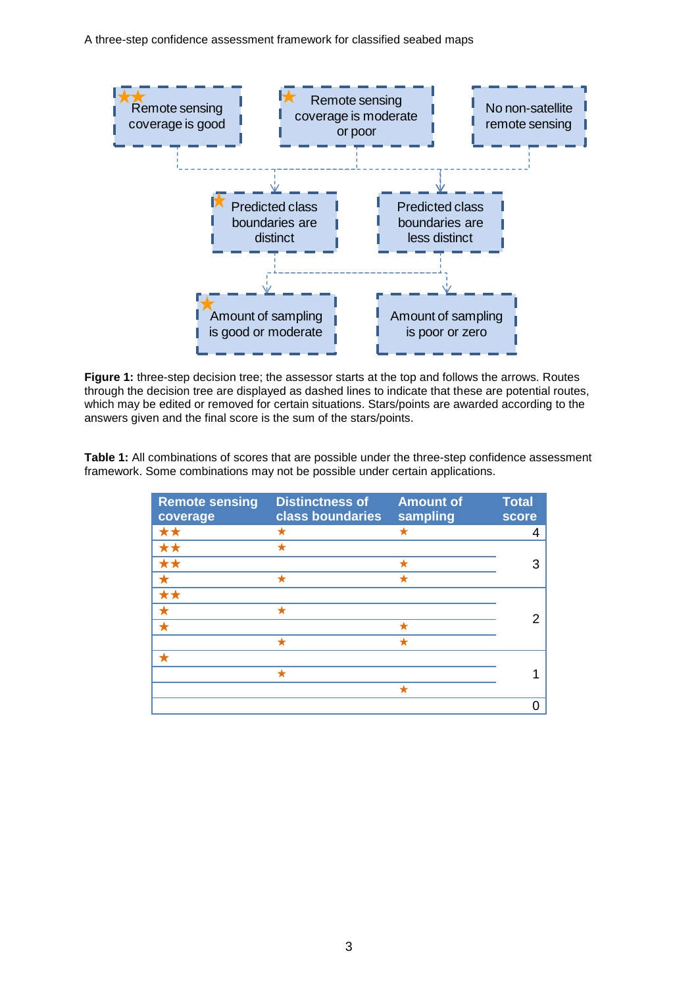A three-step confidence assessment framework for classified seabed maps



**Figure 1:** three-step decision tree; the assessor starts at the top and follows the arrows. Routes through the decision tree are displayed as dashed lines to indicate that these are potential routes, which may be edited or removed for certain situations. Stars/points are awarded according to the answers given and the final score is the sum of the stars/points.

**Table 1:** All combinations of scores that are possible under the three-step confidence assessment framework. Some combinations may not be possible under certain applications.

| <b>Remote sensing</b><br>coverage | <b>Distinctness of</b><br>class boundaries | <b>Amount of</b><br>sampling | <b>Total</b><br>score |
|-----------------------------------|--------------------------------------------|------------------------------|-----------------------|
| **                                | ╈                                          | ★                            | 4                     |
| **                                |                                            |                              |                       |
| **                                |                                            |                              | 3                     |
| $\color{red} \star$               |                                            | ┶                            |                       |
| **                                |                                            |                              |                       |
|                                   |                                            |                              |                       |
|                                   |                                            | ╈                            |                       |
|                                   | ╈                                          |                              |                       |
|                                   |                                            |                              |                       |
|                                   |                                            |                              |                       |
|                                   |                                            |                              |                       |
|                                   |                                            |                              |                       |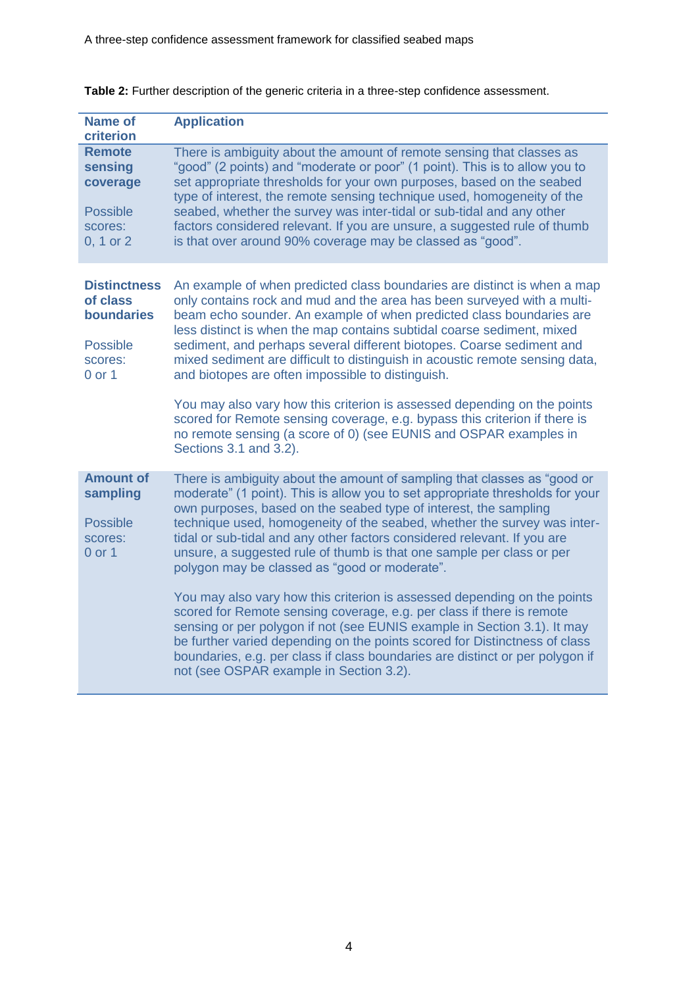| <b>Name of</b><br>criterion                                                                      | <b>Application</b>                                                                                                                                                                                                                                                                                                                                                                                                                                                                                                                                                                                                                                                                                                                                                                                                                                                                                                                                         |
|--------------------------------------------------------------------------------------------------|------------------------------------------------------------------------------------------------------------------------------------------------------------------------------------------------------------------------------------------------------------------------------------------------------------------------------------------------------------------------------------------------------------------------------------------------------------------------------------------------------------------------------------------------------------------------------------------------------------------------------------------------------------------------------------------------------------------------------------------------------------------------------------------------------------------------------------------------------------------------------------------------------------------------------------------------------------|
| <b>Remote</b><br>sensing<br>coverage<br><b>Possible</b><br>scores:<br>0, 1 or 2                  | There is ambiguity about the amount of remote sensing that classes as<br>"good" (2 points) and "moderate or poor" (1 point). This is to allow you to<br>set appropriate thresholds for your own purposes, based on the seabed<br>type of interest, the remote sensing technique used, homogeneity of the<br>seabed, whether the survey was inter-tidal or sub-tidal and any other<br>factors considered relevant. If you are unsure, a suggested rule of thumb<br>is that over around 90% coverage may be classed as "good".                                                                                                                                                                                                                                                                                                                                                                                                                               |
| <b>Distinctness</b><br>of class<br><b>boundaries</b><br><b>Possible</b><br>scores:<br>$0$ or $1$ | An example of when predicted class boundaries are distinct is when a map<br>only contains rock and mud and the area has been surveyed with a multi-<br>beam echo sounder. An example of when predicted class boundaries are<br>less distinct is when the map contains subtidal coarse sediment, mixed<br>sediment, and perhaps several different biotopes. Coarse sediment and<br>mixed sediment are difficult to distinguish in acoustic remote sensing data,<br>and biotopes are often impossible to distinguish.<br>You may also vary how this criterion is assessed depending on the points<br>scored for Remote sensing coverage, e.g. bypass this criterion if there is<br>no remote sensing (a score of 0) (see EUNIS and OSPAR examples in<br>Sections 3.1 and 3.2).                                                                                                                                                                               |
| <b>Amount of</b><br>sampling<br><b>Possible</b><br>scores:<br>$0$ or $1$                         | There is ambiguity about the amount of sampling that classes as "good or<br>moderate" (1 point). This is allow you to set appropriate thresholds for your<br>own purposes, based on the seabed type of interest, the sampling<br>technique used, homogeneity of the seabed, whether the survey was inter-<br>tidal or sub-tidal and any other factors considered relevant. If you are<br>unsure, a suggested rule of thumb is that one sample per class or per<br>polygon may be classed as "good or moderate".<br>You may also vary how this criterion is assessed depending on the points<br>scored for Remote sensing coverage, e.g. per class if there is remote<br>sensing or per polygon if not (see EUNIS example in Section 3.1). It may<br>be further varied depending on the points scored for Distinctness of class<br>boundaries, e.g. per class if class boundaries are distinct or per polygon if<br>not (see OSPAR example in Section 3.2). |

#### <span id="page-7-0"></span>**Table 2:** Further description of the generic criteria in a three-step confidence assessment.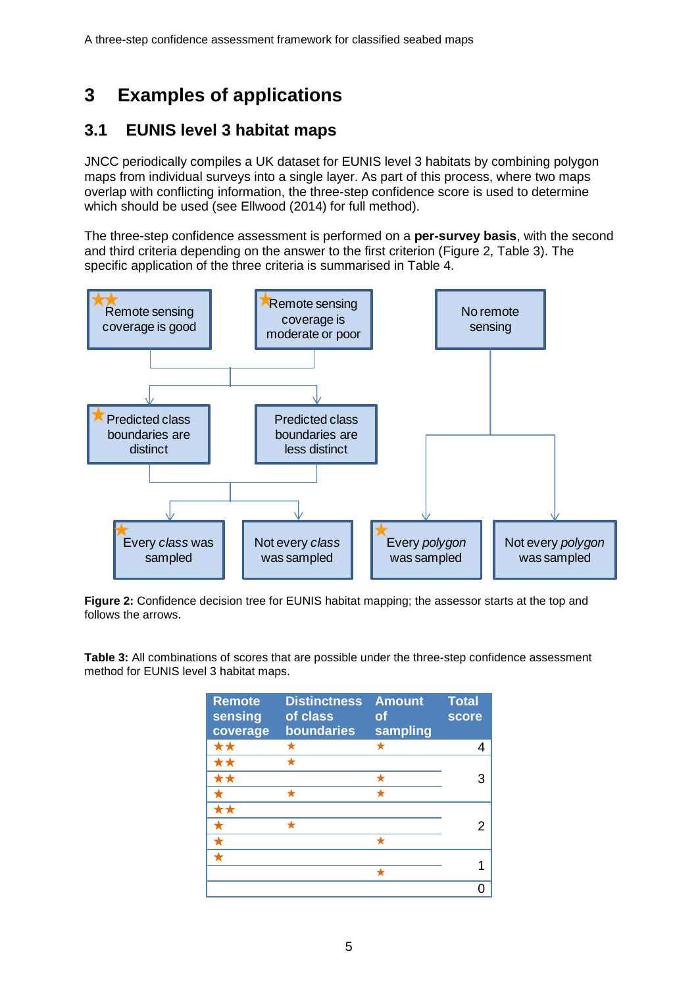# <span id="page-8-0"></span>**3 Examples of applications**

### <span id="page-8-1"></span>**3.1 EUNIS level 3 habitat maps**

JNCC periodically compiles a UK dataset for EUNIS level 3 habitats by combining polygon maps from individual surveys into a single layer. As part of this process, where two maps overlap with conflicting information, the three-step confidence score is used to determine which should be used (see Ellwood (2014) for full method).

The three-step confidence assessment is performed on a **per-survey basis**, with the second and third criteria depending on the answer to the first criterion (Figure 2, Table 3). The specific application of the three criteria is summarised in Table 4.



**Figure 2:** Confidence decision tree for EUNIS habitat mapping; the assessor starts at the top and follows the arrows.

**Table 3:** All combinations of scores that are possible under the three-step confidence assessment method for EUNIS level 3 habitat maps.

| <b>Remote</b><br>sensing<br>coverage | <b>Distinctness</b><br>of class<br>boundaries | <b>Amount</b><br><b>of</b><br>sampling | <b>Total</b><br><b>score</b> |  |
|--------------------------------------|-----------------------------------------------|----------------------------------------|------------------------------|--|
| **                                   | ★                                             | ★                                      |                              |  |
| **                                   | ٠                                             |                                        |                              |  |
| **                                   |                                               | ╈                                      |                              |  |
|                                      | ٠                                             | ٠                                      |                              |  |
| **                                   |                                               |                                        |                              |  |
| ✦                                    | +                                             |                                        |                              |  |
| ╈                                    |                                               |                                        |                              |  |
|                                      |                                               |                                        |                              |  |
|                                      |                                               |                                        |                              |  |
|                                      |                                               |                                        |                              |  |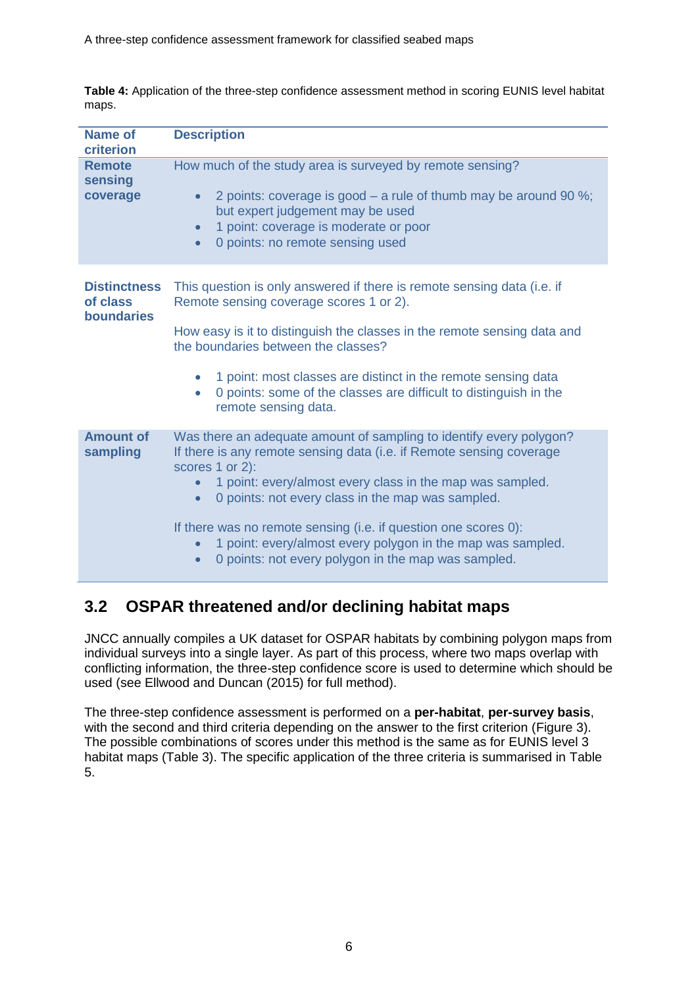| <b>Name of</b><br>criterion                   | <b>Description</b>                                                                                                                                                                                                                                                                                                                                                                                                                                                        |
|-----------------------------------------------|---------------------------------------------------------------------------------------------------------------------------------------------------------------------------------------------------------------------------------------------------------------------------------------------------------------------------------------------------------------------------------------------------------------------------------------------------------------------------|
| <b>Remote</b><br>sensing<br>coverage          | How much of the study area is surveyed by remote sensing?<br>2 points: coverage is good $-$ a rule of thumb may be around 90 %;<br>$\bullet$<br>but expert judgement may be used<br>1 point: coverage is moderate or poor<br>$\bullet$<br>0 points: no remote sensing used<br>$\bullet$                                                                                                                                                                                   |
| <b>Distinctness</b><br>of class<br>boundaries | This question is only answered if there is remote sensing data (i.e. if<br>Remote sensing coverage scores 1 or 2).<br>How easy is it to distinguish the classes in the remote sensing data and<br>the boundaries between the classes?<br>1 point: most classes are distinct in the remote sensing data<br>0 points: some of the classes are difficult to distinguish in the<br>remote sensing data.                                                                       |
| <b>Amount of</b><br>sampling                  | Was there an adequate amount of sampling to identify every polygon?<br>If there is any remote sensing data (i.e. if Remote sensing coverage<br>scores 1 or 2):<br>1 point: every/almost every class in the map was sampled.<br>0 points: not every class in the map was sampled.<br>If there was no remote sensing (i.e. if question one scores 0):<br>1 point: every/almost every polygon in the map was sampled.<br>0 points: not every polygon in the map was sampled. |

**Table 4:** Application of the three-step confidence assessment method in scoring EUNIS level habitat maps.

# <span id="page-9-0"></span>**3.2 OSPAR threatened and/or declining habitat maps**

JNCC annually compiles a UK dataset for OSPAR habitats by combining polygon maps from individual surveys into a single layer. As part of this process, where two maps overlap with conflicting information, the three-step confidence score is used to determine which should be used (see Ellwood and Duncan (2015) for full method).

The three-step confidence assessment is performed on a **per-habitat**, **per-survey basis**, with the second and third criteria depending on the answer to the first criterion (Figure 3). The possible combinations of scores under this method is the same as for EUNIS level 3 habitat maps (Table 3). The specific application of the three criteria is summarised in Table 5.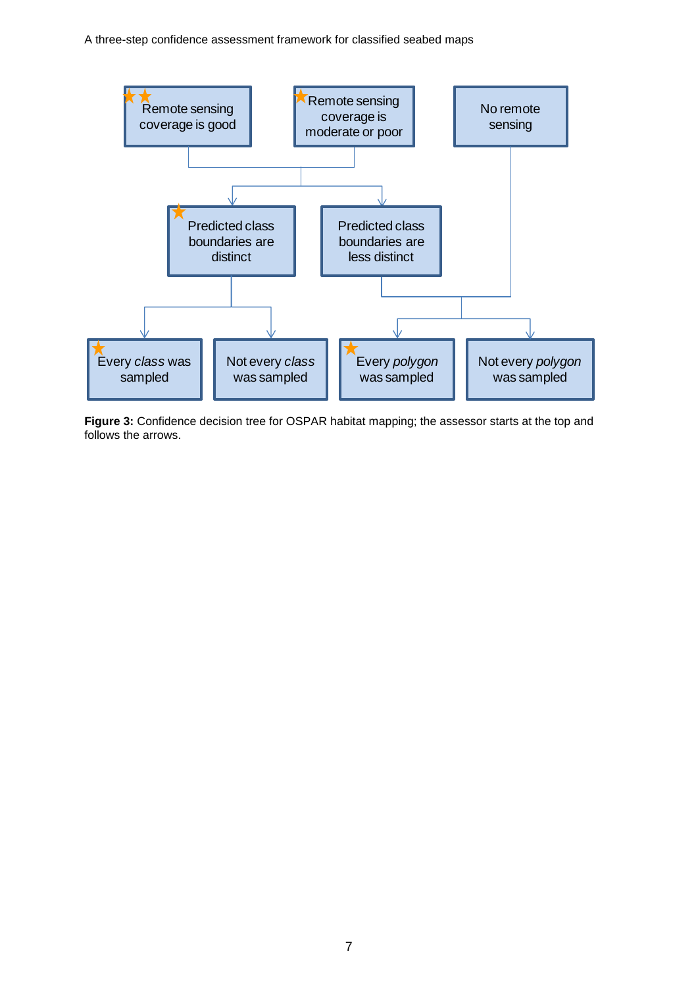A three-step confidence assessment framework for classified seabed maps



**Figure 3:** Confidence decision tree for OSPAR habitat mapping; the assessor starts at the top and follows the arrows.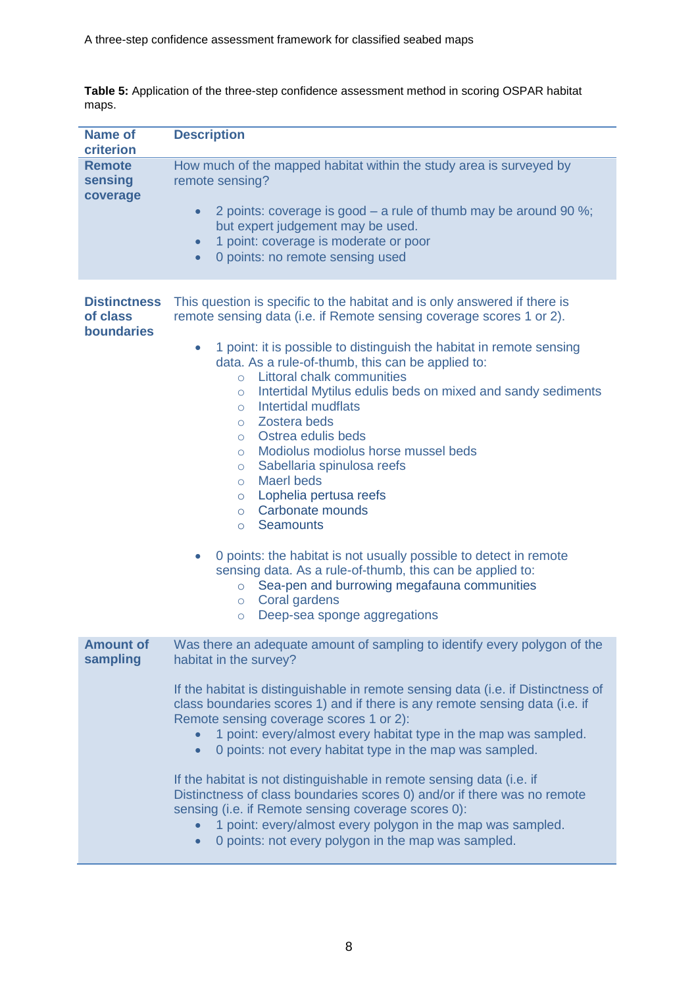**Table 5:** Application of the three-step confidence assessment method in scoring OSPAR habitat maps.

| <b>Name of</b><br>criterion                   | <b>Description</b>                                                                                                                                                                                                                                                                                                                                                                                                                                                                                                                                                                                                                                                                                                                                                                                                                                                                                                                                                                                                       |
|-----------------------------------------------|--------------------------------------------------------------------------------------------------------------------------------------------------------------------------------------------------------------------------------------------------------------------------------------------------------------------------------------------------------------------------------------------------------------------------------------------------------------------------------------------------------------------------------------------------------------------------------------------------------------------------------------------------------------------------------------------------------------------------------------------------------------------------------------------------------------------------------------------------------------------------------------------------------------------------------------------------------------------------------------------------------------------------|
| <b>Remote</b><br>sensing<br>coverage          | How much of the mapped habitat within the study area is surveyed by<br>remote sensing?<br>2 points: coverage is good – a rule of thumb may be around 90 %;<br>$\bullet$<br>but expert judgement may be used.<br>1 point: coverage is moderate or poor<br>$\bullet$<br>0 points: no remote sensing used<br>$\bullet$                                                                                                                                                                                                                                                                                                                                                                                                                                                                                                                                                                                                                                                                                                      |
| <b>Distinctness</b><br>of class<br>boundaries | This question is specific to the habitat and is only answered if there is<br>remote sensing data (i.e. if Remote sensing coverage scores 1 or 2).<br>1 point: it is possible to distinguish the habitat in remote sensing<br>$\bullet$<br>data. As a rule-of-thumb, this can be applied to:<br><b>Littoral chalk communities</b><br>$\circ$<br>Intertidal Mytilus edulis beds on mixed and sandy sediments<br>$\circ$<br>Intertidal mudflats<br>$\circ$<br>o Zostera beds<br>Ostrea edulis beds<br>$\circ$<br>Modiolus modiolus horse mussel beds<br>$\circ$<br>Sabellaria spinulosa reefs<br>$\circ$<br><b>Maerl beds</b><br>$\circ$<br>Lophelia pertusa reefs<br>$\circ$<br>Carbonate mounds<br>$\circ$<br><b>Seamounts</b><br>$\circ$<br>0 points: the habitat is not usually possible to detect in remote<br>$\bullet$<br>sensing data. As a rule-of-thumb, this can be applied to:<br>Sea-pen and burrowing megafauna communities<br>$\circ$<br>Coral gardens<br>$\circ$<br>Deep-sea sponge aggregations<br>$\circ$ |
| <b>Amount of</b><br>sampling                  | Was there an adequate amount of sampling to identify every polygon of the<br>habitat in the survey?<br>If the habitat is distinguishable in remote sensing data (i.e. if Distinctness of<br>class boundaries scores 1) and if there is any remote sensing data (i.e. if<br>Remote sensing coverage scores 1 or 2):<br>1 point: every/almost every habitat type in the map was sampled.<br>0 points: not every habitat type in the map was sampled.<br>$\bullet$<br>If the habitat is not distinguishable in remote sensing data (i.e. if<br>Distinctness of class boundaries scores 0) and/or if there was no remote<br>sensing (i.e. if Remote sensing coverage scores 0):<br>1 point: every/almost every polygon in the map was sampled.<br>0 points: not every polygon in the map was sampled.<br>$\bullet$                                                                                                                                                                                                           |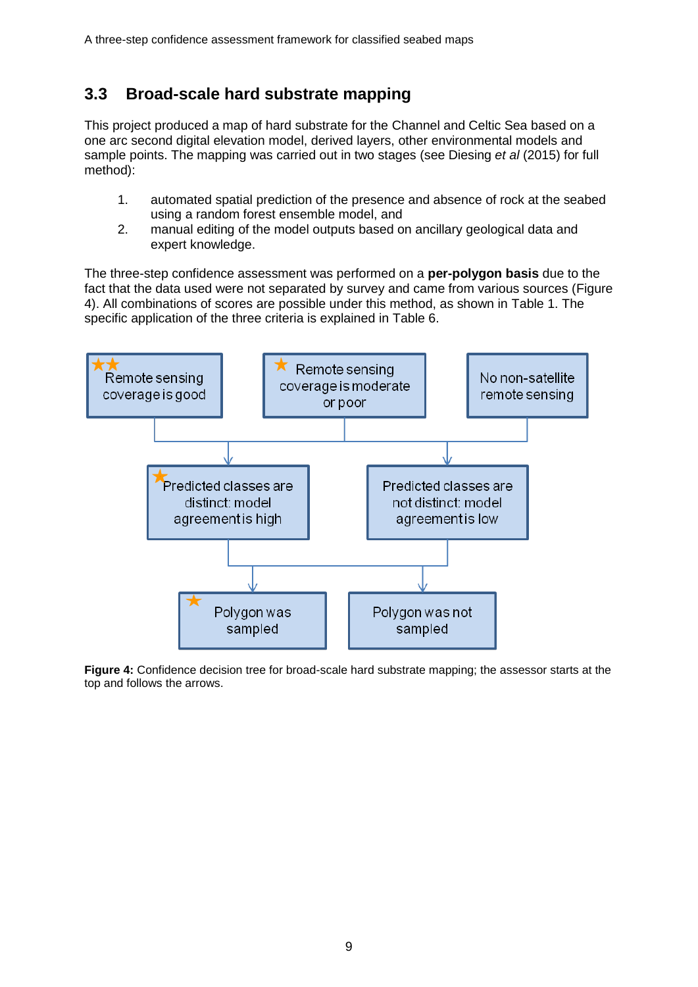### <span id="page-12-0"></span>**3.3 Broad-scale hard substrate mapping**

This project produced a map of hard substrate for the Channel and Celtic Sea based on a one arc second digital elevation model, derived layers, other environmental models and sample points. The mapping was carried out in two stages (see Diesing *et al* (2015) for full method):

- 1. automated spatial prediction of the presence and absence of rock at the seabed using a random forest ensemble model, and
- 2. manual editing of the model outputs based on ancillary geological data and expert knowledge.

The three-step confidence assessment was performed on a **per-polygon basis** due to the fact that the data used were not separated by survey and came from various sources (Figure 4). All combinations of scores are possible under this method, as shown in Table 1. The specific application of the three criteria is explained in Table 6.



**Figure 4:** Confidence decision tree for broad-scale hard substrate mapping; the assessor starts at the top and follows the arrows.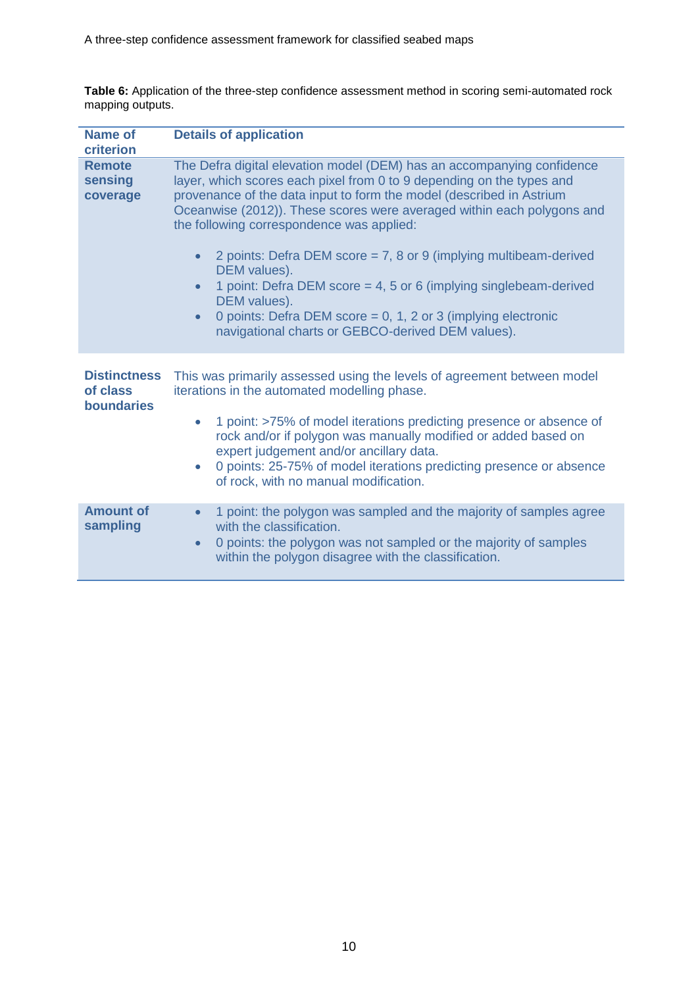| <b>Name of</b><br>criterion                          | <b>Details of application</b>                                                                                                                                                                                                                                                                                                                                                                                                                                                                                                                                                                                                                                                           |
|------------------------------------------------------|-----------------------------------------------------------------------------------------------------------------------------------------------------------------------------------------------------------------------------------------------------------------------------------------------------------------------------------------------------------------------------------------------------------------------------------------------------------------------------------------------------------------------------------------------------------------------------------------------------------------------------------------------------------------------------------------|
| <b>Remote</b><br>sensing<br>coverage                 | The Defra digital elevation model (DEM) has an accompanying confidence<br>layer, which scores each pixel from 0 to 9 depending on the types and<br>provenance of the data input to form the model (described in Astrium<br>Oceanwise (2012)). These scores were averaged within each polygons and<br>the following correspondence was applied:<br>2 points: Defra DEM score = $7, 8$ or 9 (implying multibeam-derived<br>$\bullet$<br>DEM values).<br>1 point: Defra DEM score = 4, 5 or 6 (implying singlebeam-derived<br>$\bullet$<br>DEM values).<br>0 points: Defra DEM score = 0, 1, 2 or 3 (implying electronic<br>$\bullet$<br>navigational charts or GEBCO-derived DEM values). |
| <b>Distinctness</b><br>of class<br><b>boundaries</b> | This was primarily assessed using the levels of agreement between model<br>iterations in the automated modelling phase.<br>1 point: >75% of model iterations predicting presence or absence of<br>۰<br>rock and/or if polygon was manually modified or added based on<br>expert judgement and/or ancillary data.<br>0 points: 25-75% of model iterations predicting presence or absence<br>$\bullet$<br>of rock, with no manual modification.                                                                                                                                                                                                                                           |
| <b>Amount of</b><br>sampling                         | 1 point: the polygon was sampled and the majority of samples agree<br>$\bullet$<br>with the classification.<br>0 points: the polygon was not sampled or the majority of samples<br>$\bullet$<br>within the polygon disagree with the classification.                                                                                                                                                                                                                                                                                                                                                                                                                                    |

**Table 6:** Application of the three-step confidence assessment method in scoring semi-automated rock mapping outputs.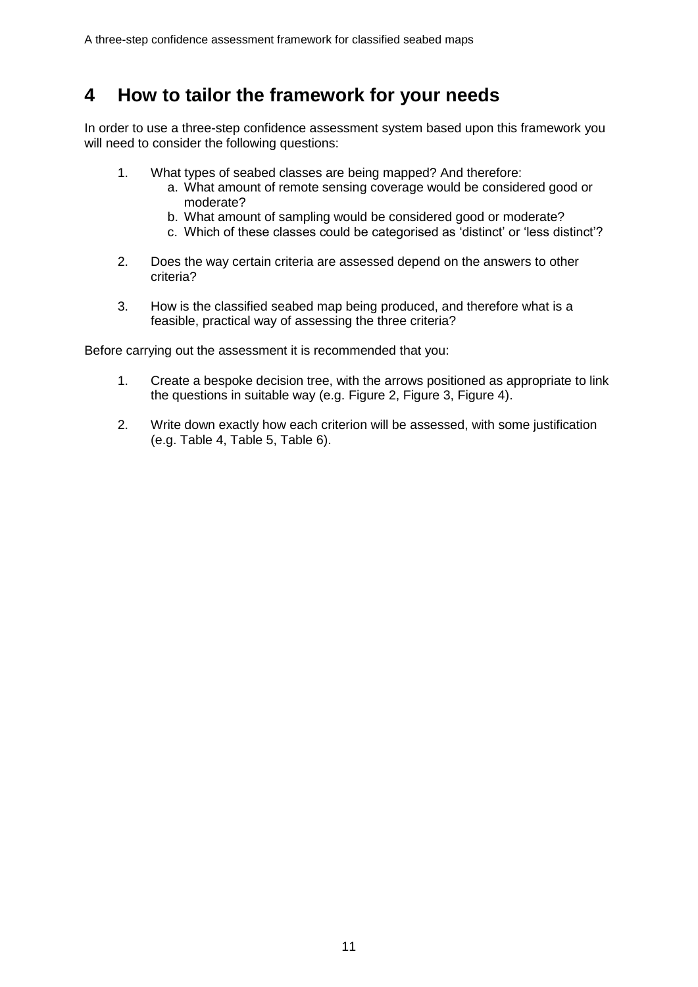# <span id="page-14-0"></span>**4 How to tailor the framework for your needs**

In order to use a three-step confidence assessment system based upon this framework you will need to consider the following questions:

- 1. What types of seabed classes are being mapped? And therefore:
	- a. What amount of remote sensing coverage would be considered good or moderate?
	- b. What amount of sampling would be considered good or moderate?
	- c. Which of these classes could be categorised as 'distinct' or 'less distinct'?
- 2. Does the way certain criteria are assessed depend on the answers to other criteria?
- 3. How is the classified seabed map being produced, and therefore what is a feasible, practical way of assessing the three criteria?

Before carrying out the assessment it is recommended that you:

- 1. Create a bespoke decision tree, with the arrows positioned as appropriate to link the questions in suitable way (e.g. Figure 2, Figure 3, Figure 4).
- 2. Write down exactly how each criterion will be assessed, with some justification (e.g. Table 4, Table 5, Table 6).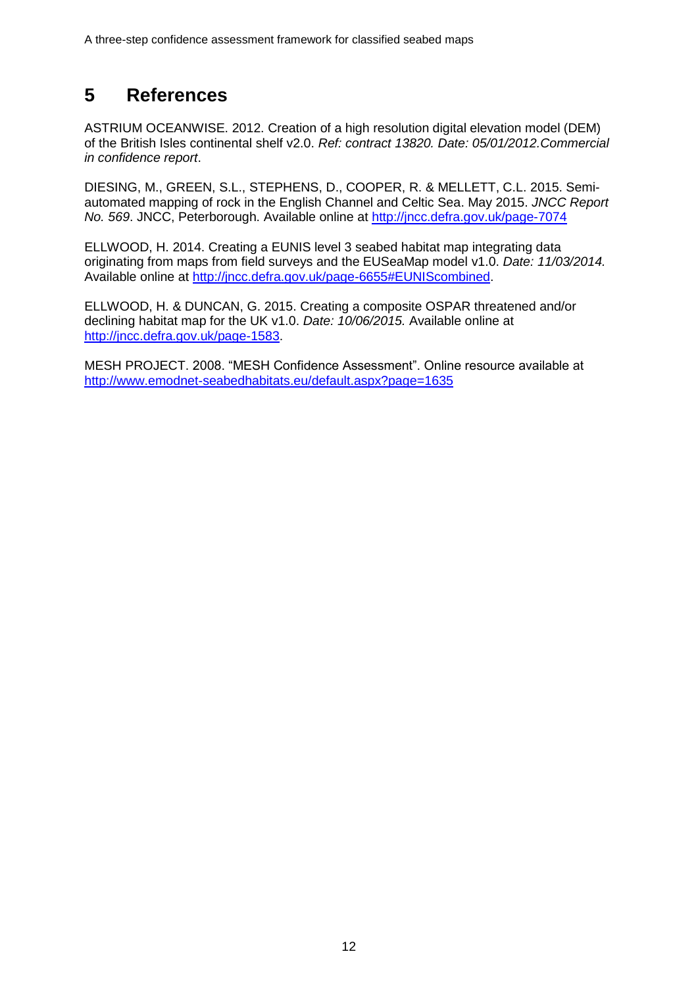# <span id="page-15-0"></span>**5 References**

ASTRIUM OCEANWISE. 2012. Creation of a high resolution digital elevation model (DEM) of the British Isles continental shelf v2.0. *Ref: contract 13820. Date: 05/01/2012.Commercial in confidence report*.

DIESING, M., GREEN, S.L., STEPHENS, D., COOPER, R. & MELLETT, C.L. 2015. Semiautomated mapping of rock in the English Channel and Celtic Sea. May 2015. *JNCC Report No. 569*. JNCC, Peterborough. Available online at<http://jncc.defra.gov.uk/page-7074>

ELLWOOD, H. 2014. Creating a EUNIS level 3 seabed habitat map integrating data originating from maps from field surveys and the EUSeaMap model v1.0. *Date: 11/03/2014.* Available online at [http://jncc.defra.gov.uk/page-6655#EUNIScombined.](http://jncc.defra.gov.uk/page-6655#EUNIScombined)

ELLWOOD, H. & DUNCAN, G. 2015. Creating a composite OSPAR threatened and/or declining habitat map for the UK v1.0. *Date: 10/06/2015.* Available online at [http://jncc.defra.gov.uk/page-1583.](http://jncc.defra.gov.uk/page-1583)

MESH PROJECT. 2008. "MESH Confidence Assessment". Online resource available at <http://www.emodnet-seabedhabitats.eu/default.aspx?page=1635>